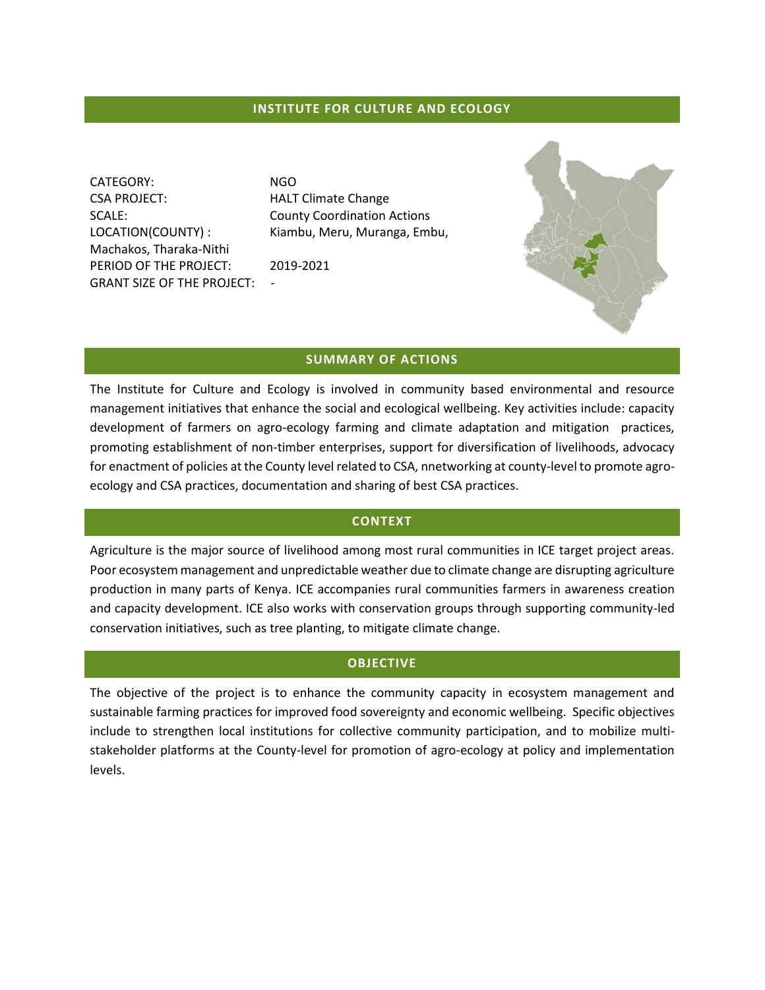### **INSTITUTE FOR CULTURE AND ECOLOGY**

CATEGORY: NGO CSA PROJECT: HALT Climate Change SCALE: County Coordination Actions Machakos, Tharaka-Nithi PERIOD OF THE PROJECT: 2019-2021 GRANT SIZE OF THE PROJECT: -

LOCATION(COUNTY) : Kiambu, Meru, Muranga, Embu,



### **SUMMARY OF ACTIONS**

The Institute for Culture and Ecology is involved in community based environmental and resource management initiatives that enhance the social and ecological wellbeing. Key activities include: capacity development of farmers on agro-ecology farming and climate adaptation and mitigation practices, promoting establishment of non-timber enterprises, support for diversification of livelihoods, advocacy for enactment of policies at the County level related to CSA, nnetworking at county-level to promote agroecology and CSA practices, documentation and sharing of best CSA practices.

## **CONTEXT**

Agriculture is the major source of livelihood among most rural communities in ICE target project areas. Poor ecosystem management and unpredictable weather due to climate change are disrupting agriculture production in many parts of Kenya. ICE accompanies rural communities farmers in awareness creation and capacity development. ICE also works with conservation groups through supporting community-led conservation initiatives, such as tree planting, to mitigate climate change.

### **OBJECTIVE**

The objective of the project is to enhance the community capacity in ecosystem management and sustainable farming practices for improved food sovereignty and economic wellbeing. Specific objectives include to strengthen local institutions for collective community participation, and to mobilize multistakeholder platforms at the County-level for promotion of agro-ecology at policy and implementation levels.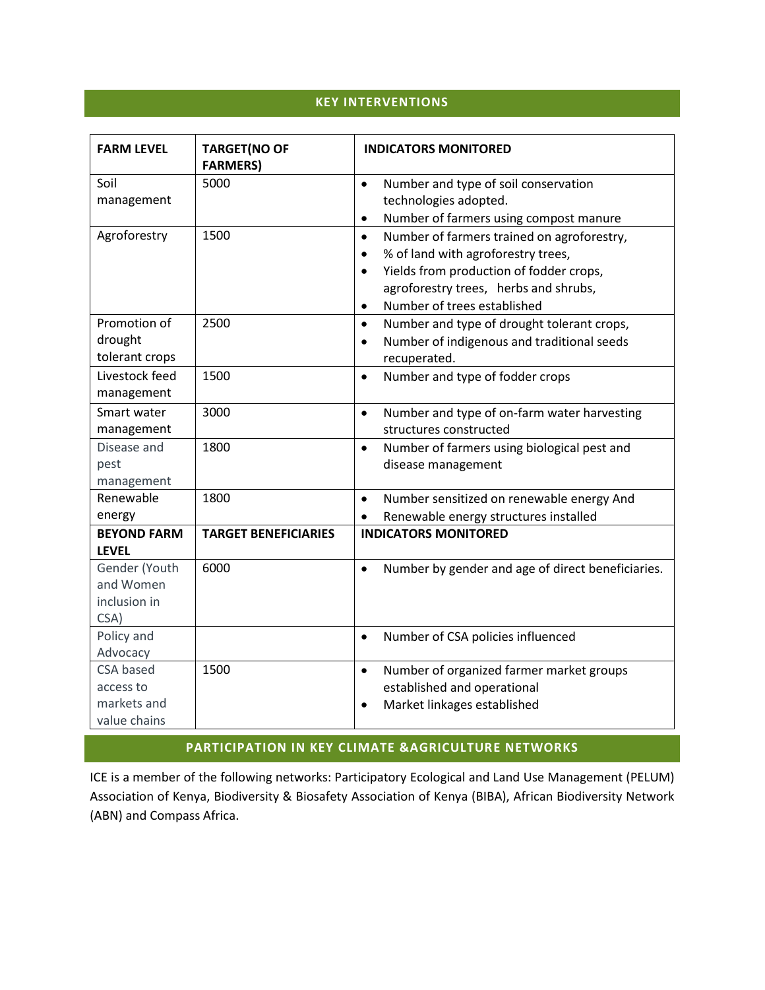# **KEY INTERVENTIONS**

| <b>FARM LEVEL</b>                  | <b>TARGET(NO OF</b><br><b>FARMERS)</b> | <b>INDICATORS MONITORED</b>                                          |
|------------------------------------|----------------------------------------|----------------------------------------------------------------------|
| Soil                               | 5000                                   | Number and type of soil conservation<br>$\bullet$                    |
| management                         |                                        | technologies adopted.                                                |
|                                    |                                        | Number of farmers using compost manure<br>$\bullet$                  |
| Agroforestry                       | 1500                                   | Number of farmers trained on agroforestry,<br>$\bullet$              |
|                                    |                                        | % of land with agroforestry trees,<br>$\bullet$                      |
|                                    |                                        | Yields from production of fodder crops,<br>$\bullet$                 |
|                                    |                                        | agroforestry trees, herbs and shrubs,                                |
|                                    |                                        | Number of trees established<br>$\bullet$                             |
| Promotion of                       | 2500                                   | Number and type of drought tolerant crops,<br>$\bullet$              |
| drought                            |                                        | Number of indigenous and traditional seeds<br>$\bullet$              |
| tolerant crops                     |                                        | recuperated.                                                         |
| Livestock feed                     | 1500                                   | Number and type of fodder crops<br>$\bullet$                         |
| management                         |                                        |                                                                      |
| Smart water                        | 3000                                   | Number and type of on-farm water harvesting<br>$\bullet$             |
| management                         |                                        | structures constructed                                               |
| Disease and                        | 1800                                   | Number of farmers using biological pest and<br>$\bullet$             |
| pest                               |                                        | disease management                                                   |
| management<br>Renewable            | 1800                                   |                                                                      |
|                                    |                                        | Number sensitized on renewable energy And<br>$\bullet$               |
| energy                             |                                        | Renewable energy structures installed<br><b>INDICATORS MONITORED</b> |
| <b>BEYOND FARM</b><br><b>LEVEL</b> | <b>TARGET BENEFICIARIES</b>            |                                                                      |
| Gender (Youth                      | 6000                                   | Number by gender and age of direct beneficiaries.<br>$\bullet$       |
| and Women                          |                                        |                                                                      |
| inclusion in                       |                                        |                                                                      |
| CSA)                               |                                        |                                                                      |
| Policy and                         |                                        | Number of CSA policies influenced<br>$\bullet$                       |
| Advocacy                           |                                        |                                                                      |
| CSA based                          | 1500                                   | Number of organized farmer market groups<br>$\bullet$                |
| access to                          |                                        | established and operational                                          |
| markets and                        |                                        | Market linkages established<br>$\bullet$                             |
| value chains                       |                                        |                                                                      |

# **PARTICIPATION IN KEY CLIMATE &AGRICULTURE NETWORKS**

ICE is a member of the following networks: Participatory Ecological and Land Use Management (PELUM) Association of Kenya, Biodiversity & Biosafety Association of Kenya (BIBA), African Biodiversity Network (ABN) and Compass Africa.